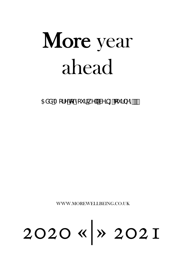5XXA cfYkx mi f kY `Wb[ 'ci fbYni''''

WWW.MOREWELLBEING.CO.UK

# 2020 «|» 2021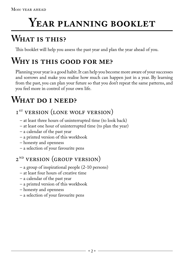### YEAR PLANNING BOOKLET

### **What is this?**

This booklet will help you assess the past year and plan the year ahead of you.

### **Why is this good for me?**

Planning your year is a good habit. It can help you become more aware of your successes and sorrows and make you realise how much can happen just in a year. By learning from the past, you can plan your future so that you don't repeat the same patterns, and you feel more in control of your own life.

### **What do i need?**

### I<sup>ST</sup> VERSION (LONE WOLF VERSION)

- at least three hours of uninterrupted time (to look back)
- at least one hour of uninterrupted time (to plan the year)
- a calendar of the past year
- a printed version of this workbook
- honesty and openness
- a selection of your favourite pens

### 2<sup>ND</sup> VERSION (GROUP VERSION)

- a group of inspirational people (2-10 persons)
- at least four hours of creative time
- a calendar of the past year
- a printed version of this workbook
- honesty and openness
- a selection of your favourite pens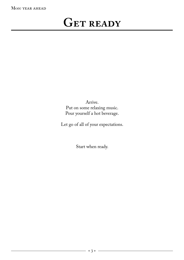### GET READY

Arrive. Put on some relaxing music. Pour yourself a hot beverage.

Let go of all of your expectations.

Start when ready.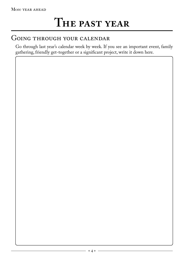### GOING THROUGH YOUR CALENDAR

Go through last year's calendar week by week. If you see an important event, family gathering, friendly get-together or a significant project, write it down here.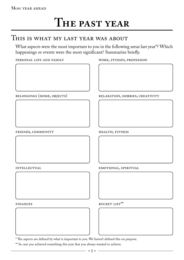#### THIS IS WHAT MY LAST YEAR WAS ABOUT

What aspects were the most important to you in the following areas last year<sup>\*?</sup> Which happenings or events were the most significant? Summarize briefly.

personal life and family



belongings (home, objects)

#### work, studies, profession

relaxation, hobbies, creativity

friends, community

**INTELLECTUAL** 

health, fitness

emotional, spiritual

finances

bucket list\*\*

\* The aspects are defined by what is important to you. We haven't defined this on purpose.

\*\* In case you achieved something this year that you always wanted to achieve.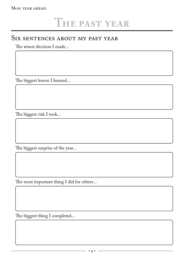#### SIX SENTENCES ABOUT MY PAST YEAR

The wisest decision I made...

The biggest lesson I learned...

The biggest risk I took...

The biggest surprise of the year...

The most important thing I did for others...

The biggest thing I completed...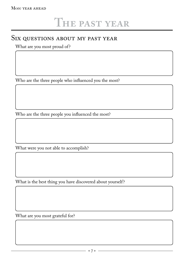#### SIX QUESTIONS ABOUT MY PAST YEAR

What are you most proud of?

Who are the three people who influenced you the most?

Who are the three people you influenced the most?

What were you not able to accomplish?

What is the best thing you have discovered about yourself?

What are you most grateful for?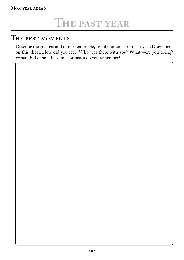#### THE BEST MOMENTS

Describe the greatest and most memorable, joyful moments from last year. Draw them on this sheet. How did you feel? Who was there with you? What were you doing? What kind of smells, sounds or tastes do you remember?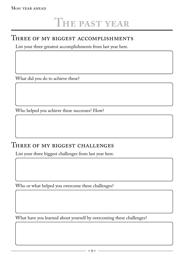#### THREE OF MY BIGGEST ACCOMPLISHMENTS

List your three greatest accomplishments from last year here.

What did you do to achieve these?

Who helped you achieve these successes? How?

#### THREE OF MY BIGGEST CHALLENGES

List your three biggest challenges from last year here.

Who or what helped you overcome these challenges?

What have you learned about yourself by overcoming these challenges?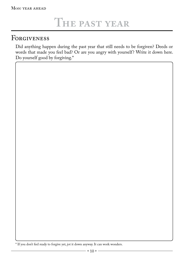### Forgiveness

Did anything happen during the past year that still needs to be forgiven? Deeds or words that made you feel bad? Or are you angry with yourself? Write it down here. Do yourself good by forgiving.\*

\* If you don't feel ready to forgive yet, jot it down anyway. It can work wonders.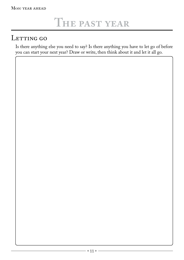### LETTING GO

Is there anything else you need to say? Is there anything you have to let go of before you can start your next year? Draw or write, then think about it and let it all go.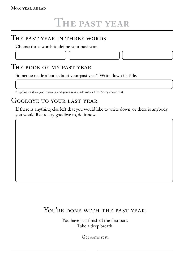#### THE PAST YEAR IN THREE WORDS

Choose three words to define your past year.

#### The book of my past year

Someone made a book about your past year\*. Write down its title.

\* Apologies if we got it wrong and yours was made into a film. Sorry about that.

#### Goodbye to your last year

If there is anything else left that you would like to write down, or there is anybody you would like to say goodbye to, do it now.

#### YOU'RE DONE WITH THE PAST YEAR.

You have just finished the first part. Take a deep breath.

Get some rest.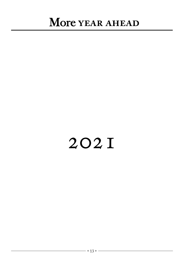## 2021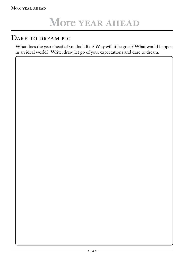#### DARE TO DREAM BIG

What does the year ahead of you look like? Why will it be great? What would happen in an ideal world? Write, draw, let go of your expectations and dare to dream.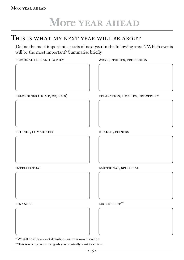#### This is what my next year will be about

Define the most important aspects of next year in the following areas\*. Which events will be the most important? Summarise briefly.

| PERSONAL LIFE AND FAMILY |  |  |
|--------------------------|--|--|
|--------------------------|--|--|



work, studies, profession

relaxation, hobbies, creativity

friends, community

emotional, spiritual

health, fitness

finances

**INTELLECTUAL** 

bucket list\*\*

\* We still don't have exact definitions, use your own discretion.

\*\* This is where you can list goals you eventually want to achieve.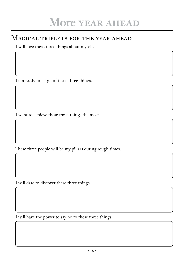#### Magical triplets for the year ahead

I will love these three things about myself.

I am ready to let go of these three things.

I want to achieve these three things the most.

These three people will be my pillars during rough times.

I will dare to discover these three things.

I will have the power to say no to these three things.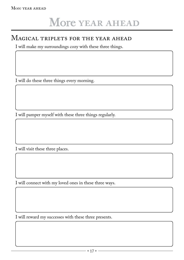#### Magical triplets for the year ahead

I will make my surroundings cozy with these three things.

I will do these three things every morning.

I will pamper myself with these three things regularly.

I will visit these three places.

I will connect with my loved ones in these three ways.

I will reward my successes with these three presents.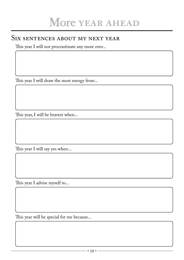#### SIX SENTENCES ABOUT MY NEXT YEAR

This year I will not procrastinate any more over...

This year I will draw the most energy from...

This year, I will be bravest when...

This year I will say yes when...

This year I advise myself to...

This year will be special for me because...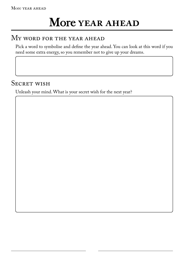#### MY WORD FOR THE YEAR AHEAD

Pick a word to symbolise and define the year ahead. You can look at this word if you need some extra energy, so you remember not to give up your dreams.

#### SECRET WISH

Unleash your mind. What is your secret wish for the next year?